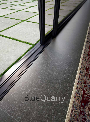## BlueQuarry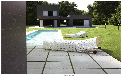